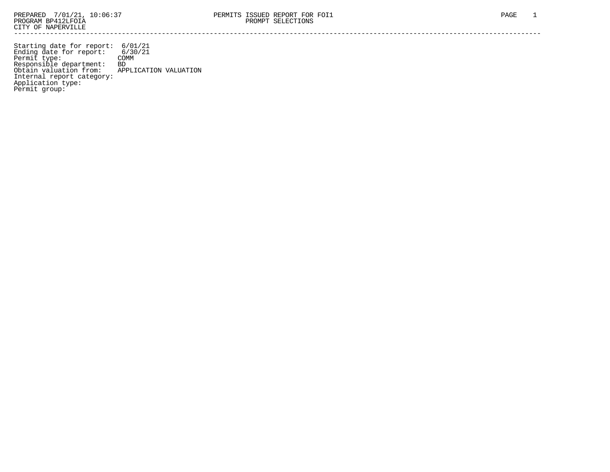Starting date for report: 6/01/21 Ending date for report: 6/30/21 Permit type: COMM Responsible department: BD Obtain valuation from: APPLICATION VALUATION Internal report category: Application type: Permit group: